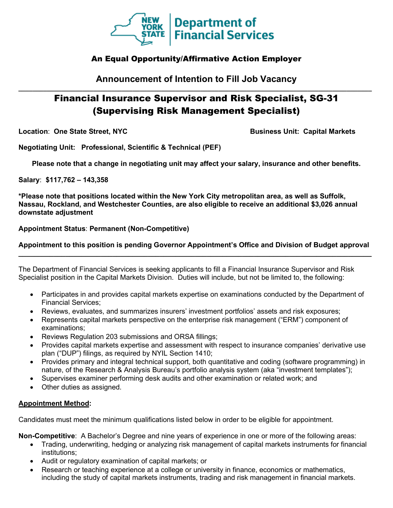

# An Equal Opportunity/Affirmative Action Employer

**Announcement of Intention to Fill Job Vacancy \_\_\_\_\_\_\_\_\_\_\_\_\_\_\_\_\_\_\_\_\_\_\_\_\_\_\_\_\_\_\_\_\_\_\_\_\_\_\_\_\_\_\_\_\_\_\_\_\_\_\_\_\_\_\_\_\_\_\_\_\_\_\_\_\_\_\_\_\_\_\_\_\_\_\_\_\_\_\_\_\_\_\_\_\_\_\_\_\_\_\_\_\_\_\_\_\_\_\_**

# Financial Insurance Supervisor and Risk Specialist, SG-31 (Supervising Risk Management Specialist)

**Location: One State Street, NYC** Business Unit: Capital Markets

**Negotiating Unit: Professional, Scientific & Technical (PEF)**

**Please note that a change in negotiating unit may affect your salary, insurance and other benefits.**

**Salary**: **\$117,762 – 143,358**

**\*Please note that positions located within the New York City metropolitan area, as well as Suffolk, Nassau, Rockland, and Westchester Counties, are also eligible to receive an additional \$3,026 annual downstate adjustment**

#### **Appointment Status**: **Permanent (Non-Competitive)**

#### **Appointment to this position is pending Governor Appointment's Office and Division of Budget approval \_\_\_\_\_\_\_\_\_\_\_\_\_\_\_\_\_\_\_\_\_\_\_\_\_\_\_\_\_\_\_\_\_\_\_\_\_\_\_\_\_\_\_\_\_\_\_\_\_\_\_\_\_\_\_\_\_\_\_\_\_\_\_\_\_\_\_\_\_\_\_\_\_\_\_\_\_\_\_\_\_\_\_\_\_\_\_\_\_\_**

The Department of Financial Services is seeking applicants to fill a Financial Insurance Supervisor and Risk Specialist position in the Capital Markets Division. Duties will include, but not be limited to, the following:

- Participates in and provides capital markets expertise on examinations conducted by the Department of Financial Services;
- Reviews, evaluates, and summarizes insurers' investment portfolios' assets and risk exposures;
- Represents capital markets perspective on the enterprise risk management ("ERM") component of examinations;
- Reviews Regulation 203 submissions and ORSA fillings;
- Provides capital markets expertise and assessment with respect to insurance companies' derivative use plan ("DUP") filings, as required by NYIL Section 1410;
- Provides primary and integral technical support, both quantitative and coding (software programming) in nature, of the Research & Analysis Bureau's portfolio analysis system (aka "investment templates");
- Supervises examiner performing desk audits and other examination or related work; and
- Other duties as assigned.

#### **Appointment Method:**

Candidates must meet the minimum qualifications listed below in order to be eligible for appointment.

**Non-Competitive**: A Bachelor's Degree and nine years of experience in one or more of the following areas:

- Trading, underwriting, hedging or analyzing risk management of capital markets instruments for financial institutions;
- Audit or regulatory examination of capital markets; or
- Research or teaching experience at a college or university in finance, economics or mathematics, including the study of capital markets instruments, trading and risk management in financial markets.